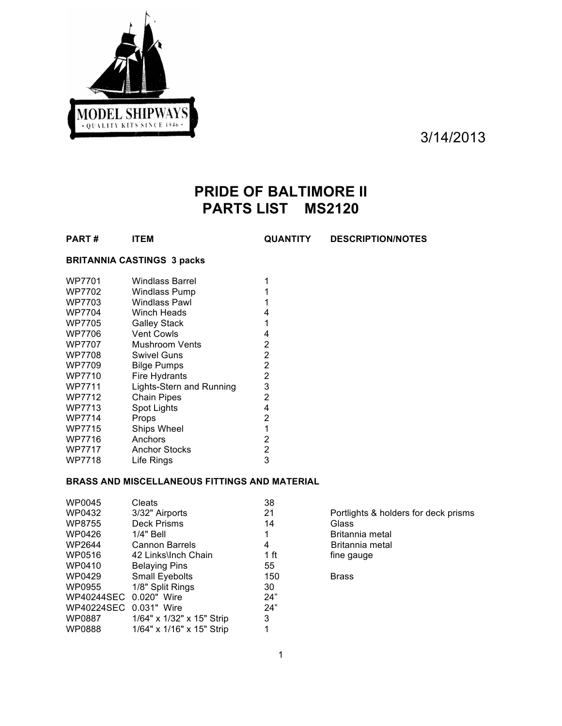

3/14/2013

# **PRIDE OF BALTIMORE II PARTS LIST MS2120**

**PART # ITEM QUANTITY DESCRIPTION/NOTES**

# **BRITANNIA CASTINGS 3 packs**

| WP7701        | <b>Windlass Barrel</b>   |   |
|---------------|--------------------------|---|
| WP7702        | Windlass Pump            |   |
| WP7703        | Windlass Pawl            |   |
| <b>WP7704</b> | Winch Heads              | 4 |
| WP7705        | <b>Galley Stack</b>      | 1 |
| WP7706        | <b>Vent Cowls</b>        | 4 |
| <b>WP7707</b> | Mushroom Vents           | 2 |
| <b>WP7708</b> | Swivel Guns              | 2 |
| WP7709        | <b>Bilge Pumps</b>       | 2 |
| WP7710        | Fire Hydrants            | 2 |
| WP7711        | Lights-Stern and Running | 3 |
| WP7712        | <b>Chain Pipes</b>       | 2 |
| WP7713        | Spot Lights              | 4 |
| <b>WP7714</b> | Props                    | 2 |
| WP7715        | <b>Ships Wheel</b>       | 1 |
| WP7716        | Anchors                  | 2 |
| WP7717        | Anchor Stocks            | 2 |
| WP7718        | Life Rings               | 3 |
|               |                          |   |

# **BRASS AND MISCELLANEOUS FITTINGS AND MATERIAL**

| WP0045                 | Cleats                    | 38   |                                      |
|------------------------|---------------------------|------|--------------------------------------|
| WP0432                 | 3/32" Airports            | 21   | Portlights & holders for deck prisms |
| WP8755                 | Deck Prisms               | 14   | Glass                                |
| WP0426                 | 1/4" Bell                 |      | Britannia metal                      |
| WP2644                 | Cannon Barrels            | 4    | Britannia metal                      |
| WP0516                 | 42 Links\lnch Chain       | 1 ft | fine gauge                           |
| WP0410                 | <b>Belaying Pins</b>      | 55   |                                      |
| WP0429                 | <b>Small Eyebolts</b>     | 150  | <b>Brass</b>                         |
| WP0955                 | 1/8" Split Rings          | 30   |                                      |
| WP40244SEC 0.020" Wire |                           | 24"  |                                      |
| WP40224SEC             | 0.031" Wire               | 24"  |                                      |
| WP0887                 | 1/64" x 1/32" x 15" Strip | 3    |                                      |
| WP0888                 | 1/64" x 1/16" x 15" Strip |      |                                      |
|                        |                           |      |                                      |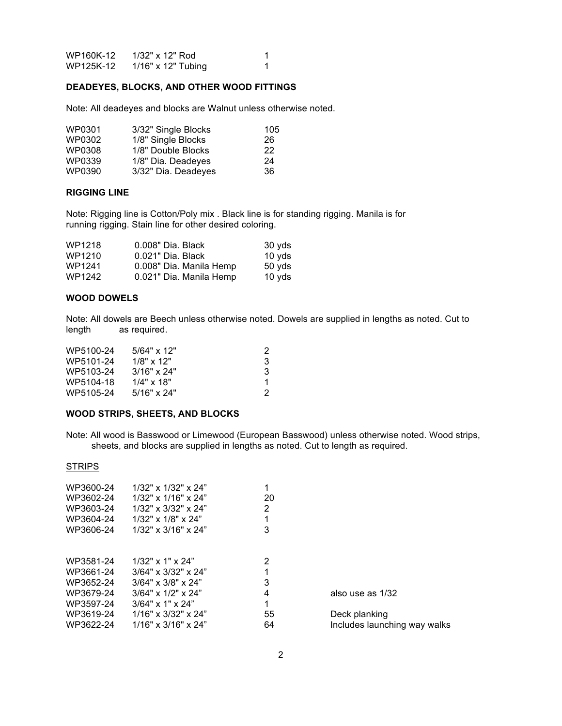| WP160K-12 | 1/32" x 12" Rod      |  |
|-----------|----------------------|--|
| WP125K-12 | $1/16"$ x 12" Tubing |  |

#### **DEADEYES, BLOCKS, AND OTHER WOOD FITTINGS**

Note: All deadeyes and blocks are Walnut unless otherwise noted.

| WP0301 | 3/32" Single Blocks | 105 |
|--------|---------------------|-----|
| WP0302 | 1/8" Single Blocks  | 26  |
| WP0308 | 1/8" Double Blocks  | 22  |
| WP0339 | 1/8" Dia. Deadeyes  | 24  |
| WP0390 | 3/32" Dia. Deadeyes | 36  |

#### **RIGGING LINE**

Note: Rigging line is Cotton/Poly mix . Black line is for standing rigging. Manila is for running rigging. Stain line for other desired coloring.

| WP1218 | 0.008" Dia, Black       | 30 yds           |
|--------|-------------------------|------------------|
| WP1210 | 0.021" Dia, Black       | 10 $vds$         |
| WP1241 | 0.008" Dia. Manila Hemp | $50 \text{ yds}$ |
| WP1242 | 0.021" Dia. Manila Hemp | 10 yds           |

#### **WOOD DOWELS**

Note: All dowels are Beech unless otherwise noted. Dowels are supplied in lengths as noted. Cut to length as required.

| WP5100-24 | $5/64" \times 12"$ |   |
|-----------|--------------------|---|
| WP5101-24 | $1/8" \times 12"$  | 3 |
| WP5103-24 | 3/16" x 24"        | 3 |
| WP5104-18 | $1/4"$ x 18"       |   |
| WP5105-24 | $5/16" \times 24"$ |   |

#### **WOOD STRIPS, SHEETS, AND BLOCKS**

Note: All wood is Basswood or Limewood (European Basswood) unless otherwise noted. Wood strips, sheets, and blocks are supplied in lengths as noted. Cut to length as required.

#### **STRIPS**

| $1/32$ " x $1/32$ " x $24$ "<br>$1/32$ " x $1/16$ " x $24$ "<br>$1/32$ " x $3/32$ " x $24$ "<br>$1/32$ " x $1/8$ " x $24$ "<br>$1/32$ " x $3/16$ " x $24$ " | 20<br>2<br>3 |                              |
|-------------------------------------------------------------------------------------------------------------------------------------------------------------|--------------|------------------------------|
| $1/32$ " x 1" x 24"                                                                                                                                         | 2            |                              |
| $3/64" \times 3/32" \times 24"$                                                                                                                             |              |                              |
| $3/64" \times 3/8" \times 24"$                                                                                                                              | 3            |                              |
| $3/64" \times 1/2" \times 24"$                                                                                                                              | 4            | also use as 1/32             |
| $3/64" \times 1" \times 24"$                                                                                                                                | 1            |                              |
| $1/16" \times 3/32" \times 24"$                                                                                                                             | 55           | Deck planking                |
| $1/16" \times 3/16" \times 24"$                                                                                                                             | 64           | Includes launching way walks |
|                                                                                                                                                             |              |                              |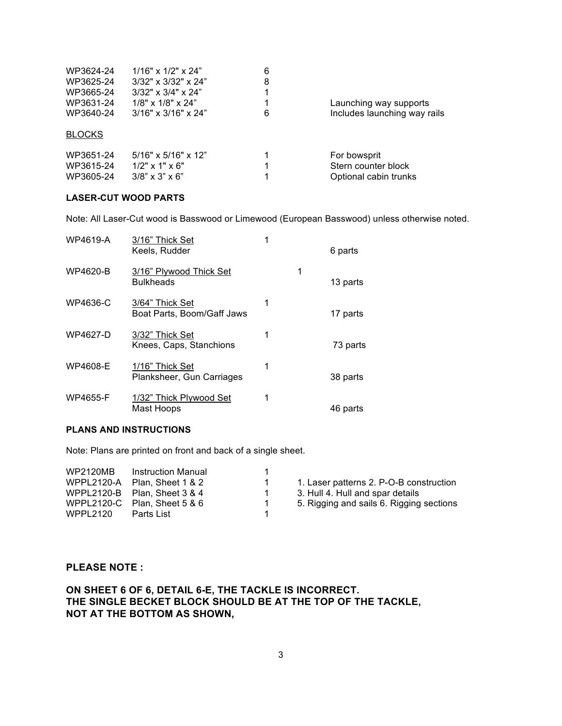| WP3624-24<br>WP3625-24 | $1/16"$ x $1/2"$ x $24"$<br>$3/32$ " x $3/32$ " x $24$ "  | 6<br>8 |                              |
|------------------------|-----------------------------------------------------------|--------|------------------------------|
| WP3665-24<br>WP3631-24 | $3/32$ " x $3/4$ " x $24$ "<br>$1/8$ " x $1/8$ " x $24$ " |        | Launching way supports       |
| WP3640-24              | $3/16" \times 3/16" \times 24"$                           | 6      | Includes launching way rails |
| <b>BLOCKS</b>          |                                                           |        |                              |
| WP3651-24              | $5/16" \times 5/16" \times 12"$                           |        | For bowsprit                 |
| WP3615-24              | $1/2$ " x 1" x 6"                                         | 1      | Stern counter block          |
| WP3605-24              | $3/8$ " x $3$ " x $6$ "                                   |        | Optional cabin trunks        |

## **LASER-CUT WOOD PARTS**

Note: All Laser-Cut wood is Basswood or Limewood (European Basswood) unless otherwise noted.

| <b>WP4619-A</b> | 3/16" Thick Set<br>Keels, Rudder              |   |   | 6 parts  |
|-----------------|-----------------------------------------------|---|---|----------|
| WP4620-B        | 3/16" Plywood Thick Set<br><b>Bulkheads</b>   |   | 1 | 13 parts |
| WP4636-C        | 3/64" Thick Set<br>Boat Parts, Boom/Gaff Jaws | 1 |   | 17 parts |
| WP4627-D        | 3/32" Thick Set<br>Knees, Caps, Stanchions    | 1 |   | 73 parts |
| WP4608-E        | 1/16" Thick Set<br>Planksheer, Gun Carriages  | 1 |   | 38 parts |
| <b>WP4655-F</b> | 1/32" Thick Plywood Set<br>Mast Hoops         | 1 |   | 46 parts |

# **PLANS AND INSTRUCTIONS**

Note: Plans are printed on front and back of a single sheet.

| 5. Rigging and sails 6. Rigging sections<br>Plan. Sheet 5 & 6<br>1<br>Parts List | <b>WP2120MB</b><br><b>WPPL2120-A</b><br>WPPL2120-C<br>WPPL2120 | Instruction Manual<br>Plan. Sheet 1 & 2<br>WPPL2120-B Plan, Sheet $3 & 4$ | 1<br>1. | 1. Laser patterns 2. P-O-B construction<br>3. Hull 4. Hull and spar details |
|----------------------------------------------------------------------------------|----------------------------------------------------------------|---------------------------------------------------------------------------|---------|-----------------------------------------------------------------------------|
|----------------------------------------------------------------------------------|----------------------------------------------------------------|---------------------------------------------------------------------------|---------|-----------------------------------------------------------------------------|

# **PLEASE NOTE :**

**ON SHEET 6 OF 6, DETAIL 6-E, THE TACKLE IS INCORRECT. THE SINGLE BECKET BLOCK SHOULD BE AT THE TOP OF THE TACKLE, NOT AT THE BOTTOM AS SHOWN,**